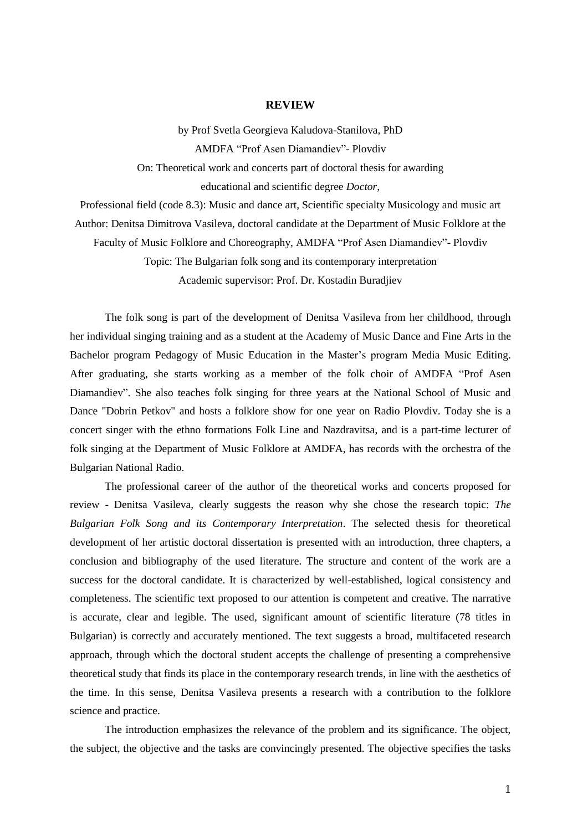## **REVIEW**

by Prof Svetla Georgieva Kaludova-Stanilova, PhD AMDFA "Prof Asen Diamandiev"- Plovdiv On: Theoretical work and concerts part of doctoral thesis for awarding educational and scientific degree *Doctor,* 

Professional field (code 8.3): Music and dance art, Scientific specialty Musicology and music art Author: Denitsa Dimitrova Vasileva, doctoral candidate at the Department of Music Folklore at the Faculty of Music Folklore and Choreography, AMDFA "Prof Asen Diamandiev"- Plovdiv Topic: The Bulgarian folk song and its contemporary interpretation Academic supervisor: Prof. Dr. Kostadin Buradjiev

The folk song is part of the development of Denitsa Vasileva from her childhood, through her individual singing training and as a student at the Academy of Music Dance and Fine Arts in the Bachelor program Pedagogy of Music Education in the Master"s program Media Music Editing. After graduating, she starts working as a member of the folk choir of AMDFA "Prof Asen Diamandiev". She also teaches folk singing for three years at the National School of Music and Dance "Dobrin Petkov" and hosts a folklore show for one year on Radio Plovdiv. Today she is a concert singer with the ethno formations Folk Line and Nazdravitsa, and is a part-time lecturer of folk singing at the Department of Music Folklore at AMDFA, has records with the orchestra of the Bulgarian National Radio.

The professional career of the author of the theoretical works and concerts proposed for review - Denitsa Vasileva, clearly suggests the reason why she chose the research topic: *The Bulgarian Folk Song and its Contemporary Interpretation*. The selected thesis for theoretical development of her artistic doctoral dissertation is presented with an introduction, three chapters, a conclusion and bibliography of the used literature. The structure and content of the work are a success for the doctoral candidate. It is characterized by well-established, logical consistency and completeness. The scientific text proposed to our attention is competent and creative. The narrative is accurate, clear and legible. The used, significant amount of scientific literature (78 titles in Bulgarian) is correctly and accurately mentioned. The text suggests a broad, multifaceted research approach, through which the doctoral student accepts the challenge of presenting a comprehensive theoretical study that finds its place in the contemporary research trends, in line with the aesthetics of the time. In this sense, Denitsa Vasileva presents a research with a contribution to the folklore science and practice.

The introduction emphasizes the relevance of the problem and its significance. The object, the subject, the objective and the tasks are convincingly presented. The objective specifies the tasks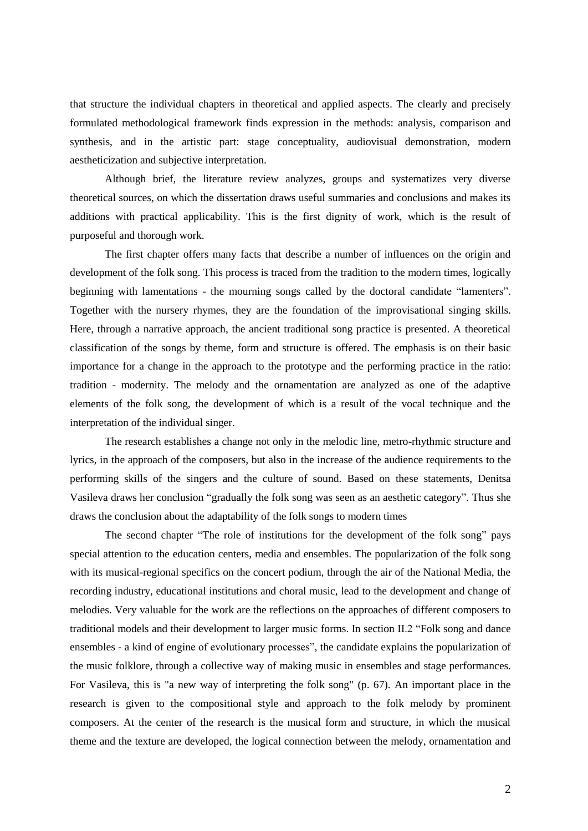that structure the individual chapters in theoretical and applied aspects. The clearly and precisely formulated methodological framework finds expression in the methods: analysis, comparison and synthesis, and in the artistic part: stage conceptuality, audiovisual demonstration, modern aestheticization and subjective interpretation.

Although brief, the literature review analyzes, groups and systematizes very diverse theoretical sources, on which the dissertation draws useful summaries and conclusions and makes its additions with practical applicability. This is the first dignity of work, which is the result of purposeful and thorough work.

The first chapter offers many facts that describe a number of influences on the origin and development of the folk song. This process is traced from the tradition to the modern times, logically beginning with lamentations - the mourning songs called by the doctoral candidate "lamenters". Together with the nursery rhymes, they are the foundation of the improvisational singing skills. Here, through a narrative approach, the ancient traditional song practice is presented. A theoretical classification of the songs by theme, form and structure is offered. The emphasis is on their basic importance for a change in the approach to the prototype and the performing practice in the ratio: tradition - modernity. The melody and the ornamentation are analyzed as one of the adaptive elements of the folk song, the development of which is a result of the vocal technique and the interpretation of the individual singer.

The research establishes a change not only in the melodic line, metro-rhythmic structure and lyrics, in the approach of the composers, but also in the increase of the audience requirements to the performing skills of the singers and the culture of sound. Based on these statements, Denitsa Vasileva draws her conclusion "gradually the folk song was seen as an aesthetic category". Thus she draws the conclusion about the adaptability of the folk songs to modern times

The second chapter "The role of institutions for the development of the folk song" pays special attention to the education centers, media and ensembles. The popularization of the folk song with its musical-regional specifics on the concert podium, through the air of the National Media, the recording industry, educational institutions and choral music, lead to the development and change of melodies. Very valuable for the work are the reflections on the approaches of different composers to traditional models and their development to larger music forms. In section II.2 "Folk song and dance ensembles - a kind of engine of evolutionary processes", the candidate explains the popularization of the music folklore, through a collective way of making music in ensembles and stage performances. For Vasileva, this is "a new way of interpreting the folk song" (p. 67). An important place in the research is given to the compositional style and approach to the folk melody by prominent composers. At the center of the research is the musical form and structure, in which the musical theme and the texture are developed, the logical connection between the melody, ornamentation and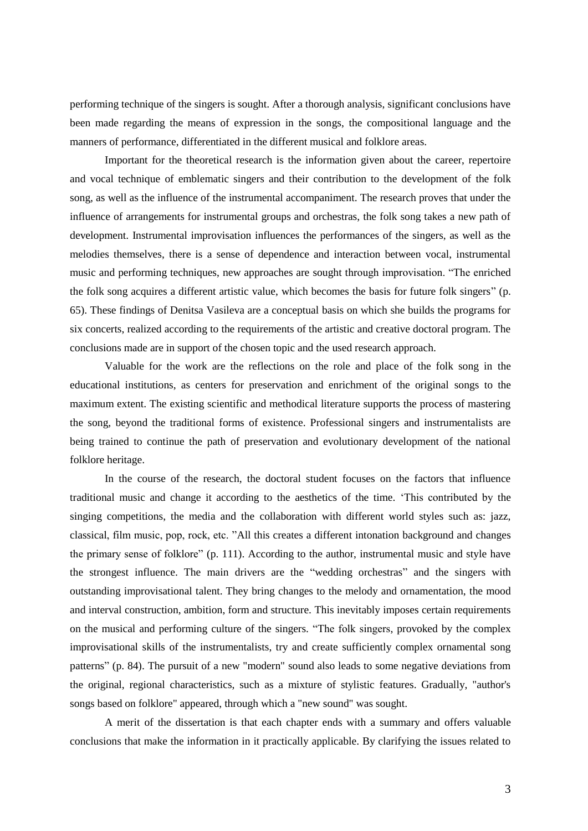performing technique of the singers is sought. After a thorough analysis, significant conclusions have been made regarding the means of expression in the songs, the compositional language and the manners of performance, differentiated in the different musical and folklore areas.

Important for the theoretical research is the information given about the career, repertoire and vocal technique of emblematic singers and their contribution to the development of the folk song, as well as the influence of the instrumental accompaniment. The research proves that under the influence of arrangements for instrumental groups and orchestras, the folk song takes a new path of development. Instrumental improvisation influences the performances of the singers, as well as the melodies themselves, there is a sense of dependence and interaction between vocal, instrumental music and performing techniques, new approaches are sought through improvisation. "The enriched the folk song acquires a different artistic value, which becomes the basis for future folk singers" (p. 65). These findings of Denitsa Vasileva are a conceptual basis on which she builds the programs for six concerts, realized according to the requirements of the artistic and creative doctoral program. The conclusions made are in support of the chosen topic and the used research approach.

Valuable for the work are the reflections on the role and place of the folk song in the educational institutions, as centers for preservation and enrichment of the original songs to the maximum extent. The existing scientific and methodical literature supports the process of mastering the song, beyond the traditional forms of existence. Professional singers and instrumentalists are being trained to continue the path of preservation and evolutionary development of the national folklore heritage.

In the course of the research, the doctoral student focuses on the factors that influence traditional music and change it according to the aesthetics of the time. "This contributed by the singing competitions, the media and the collaboration with different world styles such as: jazz, classical, film music, pop, rock, etc. "All this creates a different intonation background and changes the primary sense of folklore" (p. 111). According to the author, instrumental music and style have the strongest influence. The main drivers are the "wedding orchestras" and the singers with outstanding improvisational talent. They bring changes to the melody and ornamentation, the mood and interval construction, ambition, form and structure. This inevitably imposes certain requirements on the musical and performing culture of the singers. "The folk singers, provoked by the complex improvisational skills of the instrumentalists, try and create sufficiently complex ornamental song patterns" (p. 84). The pursuit of a new "modern" sound also leads to some negative deviations from the original, regional characteristics, such as a mixture of stylistic features. Gradually, "author's songs based on folklore" appeared, through which a "new sound" was sought.

A merit of the dissertation is that each chapter ends with a summary and offers valuable conclusions that make the information in it practically applicable. By clarifying the issues related to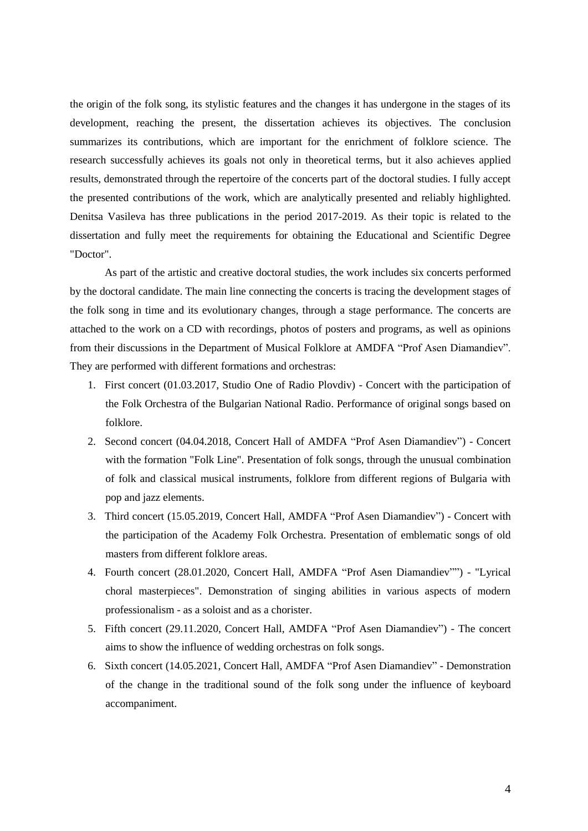the origin of the folk song, its stylistic features and the changes it has undergone in the stages of its development, reaching the present, the dissertation achieves its objectives. The conclusion summarizes its contributions, which are important for the enrichment of folklore science. The research successfully achieves its goals not only in theoretical terms, but it also achieves applied results, demonstrated through the repertoire of the concerts part of the doctoral studies. I fully accept the presented contributions of the work, which are analytically presented and reliably highlighted. Denitsa Vasileva has three publications in the period 2017-2019. As their topic is related to the dissertation and fully meet the requirements for obtaining the Educational and Scientific Degree "Doctor".

As part of the artistic and creative doctoral studies, the work includes six concerts performed by the doctoral candidate. The main line connecting the concerts is tracing the development stages of the folk song in time and its evolutionary changes, through a stage performance. The concerts are attached to the work on a CD with recordings, photos of posters and programs, as well as opinions from their discussions in the Department of Musical Folklore at AMDFA "Prof Asen Diamandiev". They are performed with different formations and orchestras:

- 1. First concert (01.03.2017, Studio One of Radio Plovdiv) Concert with the participation of the Folk Orchestra of the Bulgarian National Radio. Performance of original songs based on folklore.
- 2. Second concert (04.04.2018, Concert Hall of AMDFA "Prof Asen Diamandiev") Concert with the formation "Folk Line". Presentation of folk songs, through the unusual combination of folk and classical musical instruments, folklore from different regions of Bulgaria with pop and jazz elements.
- 3. Third concert (15.05.2019, Concert Hall, AMDFA "Prof Asen Diamandiev") Concert with the participation of the Academy Folk Orchestra. Presentation of emblematic songs of old masters from different folklore areas.
- 4. Fourth concert (28.01.2020, Concert Hall, AMDFA "Prof Asen Diamandiev"") "Lyrical choral masterpieces". Demonstration of singing abilities in various aspects of modern professionalism - as a soloist and as a chorister.
- 5. Fifth concert (29.11.2020, Concert Hall, AMDFA "Prof Asen Diamandiev") The concert aims to show the influence of wedding orchestras on folk songs.
- 6. Sixth concert (14.05.2021, Concert Hall, AMDFA "Prof Asen Diamandiev" Demonstration of the change in the traditional sound of the folk song under the influence of keyboard accompaniment.